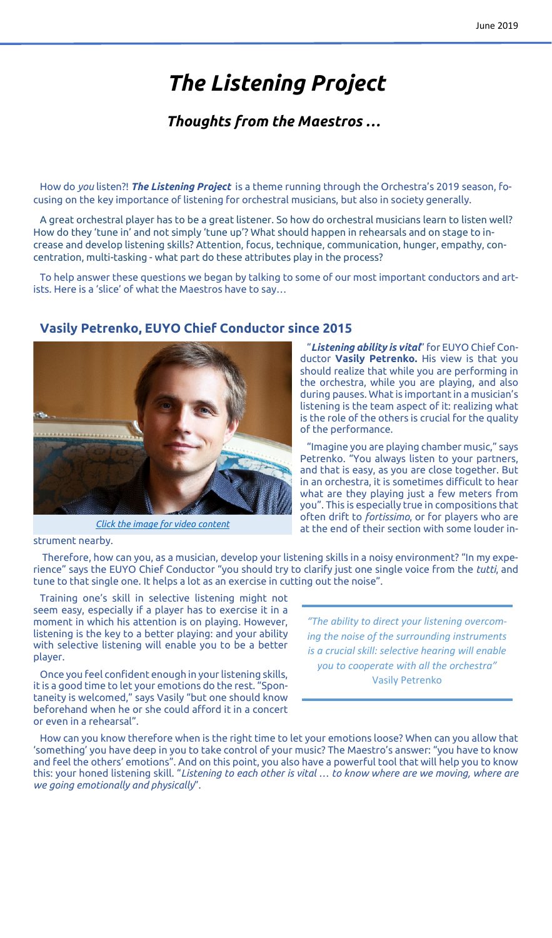# *The Listening Project*

## *Thoughts from the Maestros …*

How do *you* listen?! *The Listening Project* is a theme running through the Orchestra's 2019 season, focusing on the key importance of listening for orchestral musicians, but also in society generally.

A great orchestral player has to be a great listener. So how do orchestral musicians learn to listen well? How do they 'tune in' and not simply 'tune up'? What should happen in rehearsals and on stage to increase and develop listening skills? Attention, focus, technique, communication, hunger, empathy, concentration, multi-tasking - what part do these attributes play in the process?

To help answer these questions we began by talking to some of our most important conductors and artists. Here is a 'slice' of what the Maestros have to say…

#### **Vasily Petrenko, EUYO Chief Conductor since 2015**



*[Click the image for video content](https://www.youtube.com/watch?v=5Yvgmt1HkJA)*

"*Listening ability is vital*" for EUYO Chief Conductor **Vasily Petrenko.** His view is that you should realize that while you are performing in the orchestra, while you are playing, and also during pauses. What is important in a musician's listening is the team aspect of it: realizing what is the role of the others is crucial for the quality of the performance.

"Imagine you are playing chamber music," says Petrenko. "You always listen to your partners, and that is easy, as you are close together. But in an orchestra, it is sometimes difficult to hear what are they playing just a few meters from you". This is especially true in compositions that often drift to *fortissimo*, or for players who are at the end of their section with some louder in-

strument nearby.

Therefore, how can you, as a musician, develop your listening skills in a noisy environment? "In my experience" says the EUYO Chief Conductor "you should try to clarify just one single voice from the *tutti*, and tune to that single one. It helps a lot as an exercise in cutting out the noise".

Training one's skill in selective listening might not seem easy, especially if a player has to exercise it in a moment in which his attention is on playing. However, listening is the key to a better playing: and your ability with selective listening will enable you to be a better player.

Once you feel confident enough in your listening skills, it is a good time to let your emotions do the rest. "Spontaneity is welcomed," says Vasily "but one should know beforehand when he or she could afford it in a concert or even in a rehearsal".

*"The ability to direct your listening overcoming the noise of the surrounding instruments is a crucial skill: selective hearing will enable you to cooperate with all the orchestra"* Vasily Petrenko

How can you know therefore when is the right time to let your emotions loose? When can you allow that 'something' you have deep in you to take control of your music? The Maestro's answer: "you have to know and feel the others' emotions". And on this point, you also have a powerful tool that will help you to know this: your honed listening skill. "*Listening to each other is vital … to know where are we moving, where are we going emotionally and physically*".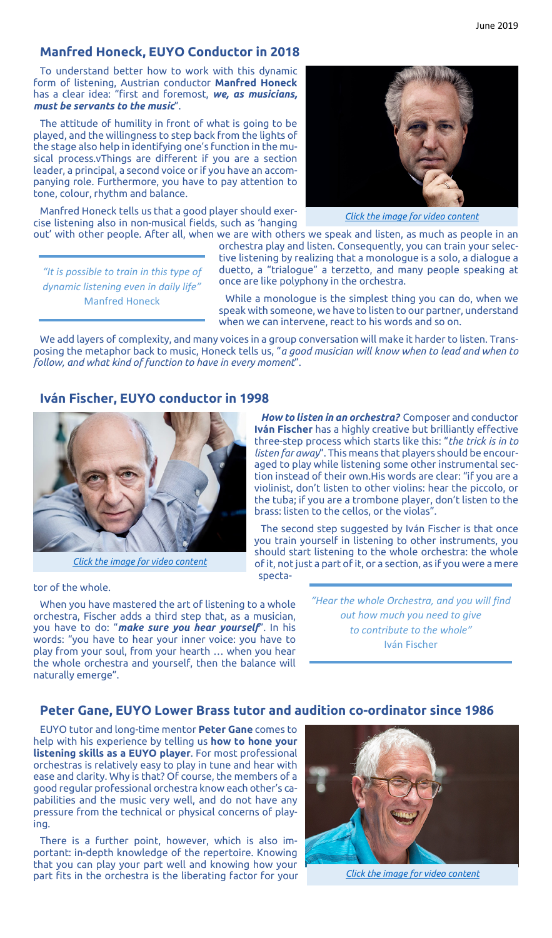### **Manfred Honeck, EUYO Conductor in 2018**

To understand better how to work with this dynamic form of listening, Austrian conductor **Manfred Honeck** has a clear idea: "first and foremost, *we, as musicians, must be servants to the music*".

The attitude of humility in front of what is going to be played, and the willingness to step back from the lights of the stage also help in identifying one's function in the musical process.vThings are different if you are a section leader, a principal, a second voice or if you have an accompanying role. Furthermore, you have to pay attention to tone, colour, rhythm and balance.

Manfred Honeck tells us that a good player should exercise listening also in non-musical fields, such as 'hanging

*"It is possible to train in this type of dynamic listening even in daily life"* Manfred Honeck

out' with other people. After all, when we are with others we speak and listen, as much as people in an orchestra play and listen. Consequently, you can train your selective listening by realizing that a monologue is a solo, a dialogue a duetto, a "trialogue" a terzetto, and many people speaking at once are like polyphony in the orchestra. *[Click the image for video content](https://www.youtube.com/watch?v=yi7lgBW-hoc)*

While a monologue is the simplest thing you can do, when we speak with someone, we have to listen to our partner, understand when we can intervene, react to his words and so on.

We add layers of complexity, and many voices in a group conversation will make it harder to listen. Transposing the metaphor back to music, Honeck tells us, "*a good musician will know when to lead and when to follow, and what kind of function to have in every moment*".

#### **Iván Fischer, EUYO conductor in 1998**



*[Click the image for video content](https://www.youtube.com/watch?v=gKvuggXlIKI)*

tor of the whole.

When you have mastered the art of listening to a whole orchestra, Fischer adds a third step that, as a musician, you have to do: "*make sure you hear yourself*". In his words: "you have to hear your inner voice: you have to play from your soul, from your hearth … when you hear the whole orchestra and yourself, then the balance will naturally emerge".

*How to listen in an orchestra?* Composer and conductor **Iván Fischer** has a highly creative but brilliantly effective three-step process which starts like this: "*the trick is in to listen far away*". This means that players should be encouraged to play while listening some other instrumental section instead of their own.His words are clear: "if you are a violinist, don't listen to other violins: hear the piccolo, or the tuba; if you are a trombone player, don't listen to the brass: listen to the cellos, or the violas".

The second step suggested by Iván Fischer is that once you train yourself in listening to other instruments, you should start listening to the whole orchestra: the whole of it, not just a part of it, or a section, as if you were a mere specta-

> *"Hear the whole Orchestra, and you will find out how much you need to give to contribute to the whole"* Iván Fischer

#### **Peter Gane, EUYO Lower Brass tutor and audition co-ordinator since 1986**

EUYO tutor and long-time mentor **Peter Gane** comes to help with his experience by telling us **how to hone your listening skills as a EUYO player**. For most professional orchestras is relatively easy to play in tune and hear with ease and clarity. Why is that? Of course, the members of a good regular professional orchestra know each other's capabilities and the music very well, and do not have any pressure from the technical or physical concerns of playing.

There is a further point, however, which is also important: in-depth knowledge of the repertoire. Knowing that you can play your part well and knowing how your part fits in the orchestra is the liberating factor for your



*[Click the image for video content](https://www.youtube.com/watch?v=GQW5eC5GVV0)*